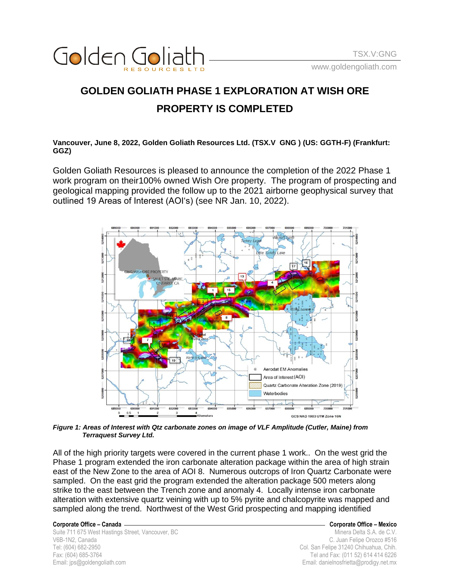

## **GOLDEN GOLIATH PHASE 1 EXPLORATION AT WISH ORE PROPERTY IS COMPLETED**

**Vancouver, June 8, 2022, Golden Goliath Resources Ltd. (TSX.V GNG ) (US: GGTH-F) (Frankfurt: GGZ)**

Golden Goliath Resources is pleased to announce the completion of the 2022 Phase 1 work program on their100% owned Wish Ore property. The program of prospecting and geological mapping provided the follow up to the 2021 airborne geophysical survey that outlined 19 Areas of Interest (AOIʻs) (see NR Jan. 10, 2022).



*Figure 1: Areas of Interest with Qtz carbonate zones on image of VLF Amplitude (Cutler, Maine) from Terraquest Survey Ltd.*

All of the high priority targets were covered in the current phase 1 work.. On the west grid the Phase 1 program extended the iron carbonate alteration package within the area of high strain east of the New Zone to the area of AOI 8. Numerous outcrops of Iron Quartz Carbonate were sampled. On the east grid the program extended the alteration package 500 meters along strike to the east between the Trench zone and anomaly 4. Locally intense iron carbonate alteration with extensive quartz veining with up to 5% pyrite and chalcopyrite was mapped and sampled along the trend. Northwest of the West Grid prospecting and mapping identified

**Corporate Office – Canada Corporate Office – Mexico** Suite 711 675 West Hastings Street, Vancouver, BC Minera Delta S.A. de C.V. V6B-1N2, Canada C. Juan Felipe Orozco #516 Tel: (604) 682-2950 Col. San Felipe 31240 Chihuahua, Chih. Fax: (604) 685-3764 Tel and Fax: (011 52) 614 414 6226 Email: jps@goldengoliath.com Email: danielnosfrietta@prodigy.net.mx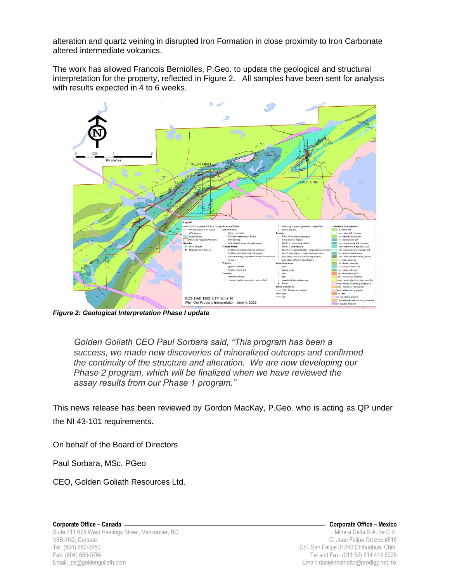alteration and quartz veining in disrupted Iron Formation in close proximity to Iron Carbonate altered intermediate volcanics.

The work has allowed Francois Berniolles, P.Geo. to update the geological and structural interpretation for the property, reflected in Figure 2. All samples have been sent for analysis with results expected in 4 to 6 weeks.



*Figure 2: Geological Interpretation Phase I update*

*Golden Goliath CEO Paul Sorbara said, "This program has been a success, we made new discoveries of mineralized outcrops and confirmed the continuity of the structure and alteration. We are now developing our Phase 2 program, which will be finalized when we have reviewed the assay results from our Phase 1 program."*

This news release has been reviewed by Gordon MacKay, P.Geo. who is acting as QP under the NI 43-101 requirements.

On behalf of the Board of Directors

Paul Sorbara, MSc, PGeo

CEO, Golden Goliath Resources Ltd.